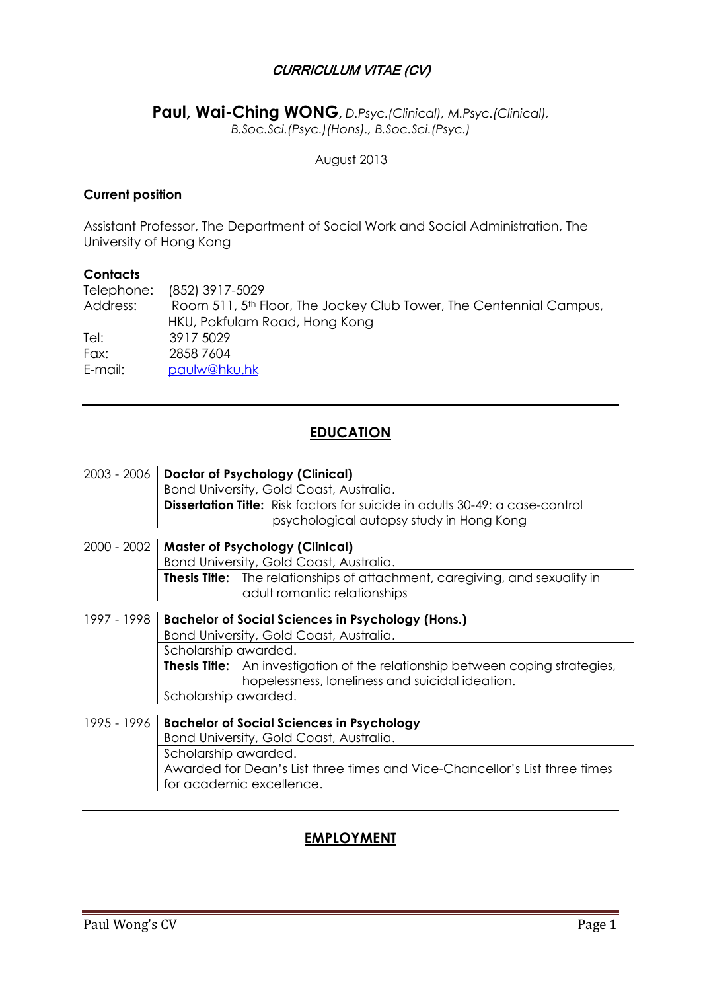## CURRICULUM VITAE (CV)

**Paul, Wai-Ching WONG,** *D.Psyc.(Clinical), M.Psyc.(Clinical), B.Soc.Sci.(Psyc.)(Hons)., B.Soc.Sci.(Psyc.)*

August 2013

## **Current position**

Assistant Professor, The Department of Social Work and Social Administration, The University of Hong Kong

#### **Contacts**

|          | Telephone: (852) 3917-5029                                                     |
|----------|--------------------------------------------------------------------------------|
| Address: | Room 511, 5 <sup>th</sup> Floor, The Jockey Club Tower, The Centennial Campus, |
|          | HKU, Pokfulam Road, Hong Kong                                                  |
| Tel:     | 3917 5029                                                                      |
| Fax:     | 2858 7604                                                                      |
| E-mail:  | paulw@hku.hk                                                                   |

## **EDUCATION**

| 2003 - 2006 | Doctor of Psychology (Clinical)<br>Bond University, Gold Coast, Australia.                                                              |
|-------------|-----------------------------------------------------------------------------------------------------------------------------------------|
|             | <b>Dissertation Title:</b> Risk factors for suicide in adults 30-49: a case-control<br>psychological autopsy study in Hong Kong         |
| 2000 - 2002 | <b>Master of Psychology (Clinical)</b>                                                                                                  |
|             | Bond University, Gold Coast, Australia.                                                                                                 |
|             | <b>Thesis Title:</b> The relationships of attachment, caregiving, and sexuality in<br>adult romantic relationships                      |
| 1997 - 1998 | <b>Bachelor of Social Sciences in Psychology (Hons.)</b><br>Bond University, Gold Coast, Australia.                                     |
|             | Scholarship awarded.                                                                                                                    |
|             | <b>Thesis Title:</b> An investigation of the relationship between coping strategies,<br>hopelessness, loneliness and suicidal ideation. |
|             | Scholarship awarded.                                                                                                                    |
| 1995 - 1996 | <b>Bachelor of Social Sciences in Psychology</b><br>Bond University, Gold Coast, Australia.                                             |
|             | Scholarship awarded.                                                                                                                    |
|             | Awarded for Dean's List three times and Vice-Chancellor's List three times                                                              |
|             | for academic excellence.                                                                                                                |

## **EMPLOYMENT**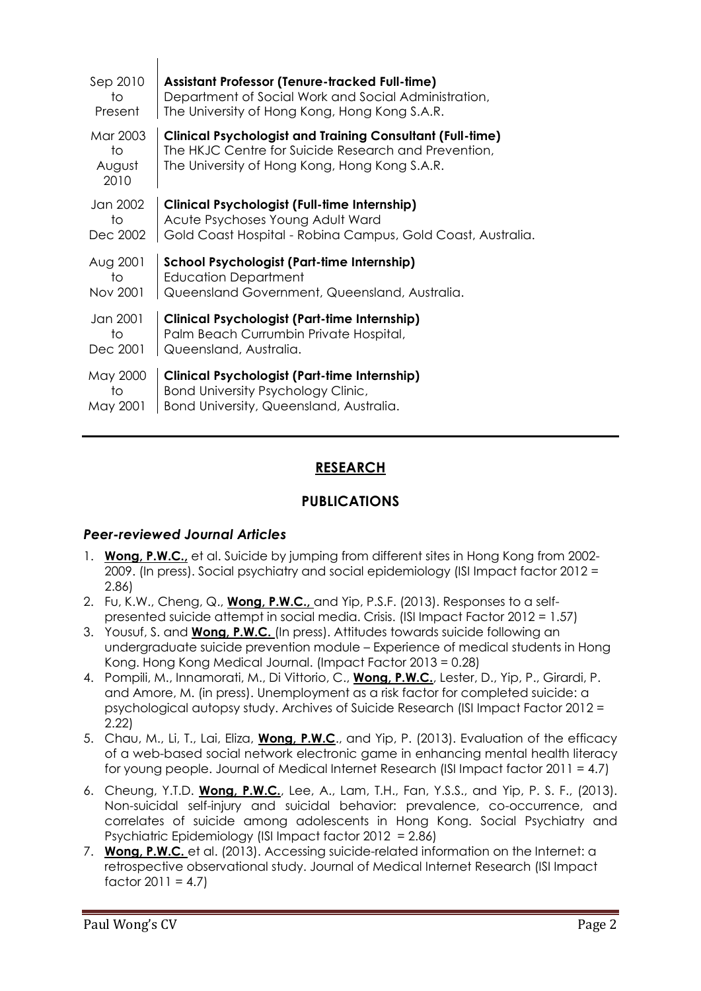| Sep 2010                         | <b>Assistant Professor (Tenure-tracked Full-time)</b>                                                                                                                     |
|----------------------------------|---------------------------------------------------------------------------------------------------------------------------------------------------------------------------|
| to                               | Department of Social Work and Social Administration,                                                                                                                      |
| Present                          | The University of Hong Kong, Hong Kong S.A.R.                                                                                                                             |
| Mar 2003<br>to<br>August<br>2010 | <b>Clinical Psychologist and Training Consultant (Full-time)</b><br>The HKJC Centre for Suicide Research and Prevention,<br>The University of Hong Kong, Hong Kong S.A.R. |
| Jan 2002                         | <b>Clinical Psychologist (Full-time Internship)</b>                                                                                                                       |
| to                               | Acute Psychoses Young Adult Ward                                                                                                                                          |
| Dec 2002                         | Gold Coast Hospital - Robina Campus, Gold Coast, Australia.                                                                                                               |
| Aug 2001                         | School Psychologist (Part-time Internship)                                                                                                                                |
| to                               | <b>Education Department</b>                                                                                                                                               |
| Nov 2001                         | Queensland Government, Queensland, Australia.                                                                                                                             |
| Jan 2001                         | <b>Clinical Psychologist (Part-time Internship)</b>                                                                                                                       |
| to                               | Palm Beach Currumbin Private Hospital,                                                                                                                                    |
| Dec 2001                         | Queensland, Australia.                                                                                                                                                    |
| May 2000                         | <b>Clinical Psychologist (Part-time Internship)</b>                                                                                                                       |
| to                               | Bond University Psychology Clinic,                                                                                                                                        |
| May 2001                         | Bond University, Queensland, Australia.                                                                                                                                   |

## **RESEARCH**

## **PUBLICATIONS**

## *Peer-reviewed Journal Articles*

 $\mathbf{I}$ 

- 1. **Wong, P.W.C.,** et al. Suicide by jumping from different sites in Hong Kong from 2002- 2009. (In press). Social psychiatry and social epidemiology (ISI Impact factor 2012 = 2.86)
- 2. Fu, K.W., Cheng, Q., **Wong, P.W.C.,** and Yip, P.S.F. (2013). Responses to a selfpresented suicide attempt in social media. Crisis. (ISI Impact Factor 2012 = 1.57)
- 3. Yousuf, S. and **Wong, P.W.C.** (In press). Attitudes towards suicide following an undergraduate suicide prevention module – Experience of medical students in Hong Kong. Hong Kong Medical Journal. (Impact Factor 2013 = 0.28)
- 4. Pompili, M., Innamorati, M., Di Vittorio, C., **Wong, P.W.C.**, Lester, D., Yip, P., Girardi, P. and Amore, M. (in press). Unemployment as a risk factor for completed suicide: a psychological autopsy study. Archives of Suicide Research (ISI Impact Factor 2012 = 2.22)
- 5. Chau, M., Li, T., Lai, Eliza, **Wong, P.W.C**., and Yip, P. (2013). Evaluation of the efficacy of a web-based social network electronic game in enhancing mental health literacy for young people. Journal of Medical Internet Research (ISI Impact factor 2011 = 4.7)
- 6. Cheung, Y.T.D. **Wong, P.W.C.**, Lee, A., Lam, T.H., Fan, Y.S.S., and Yip, P. S. F., (2013). Non-suicidal self-injury and suicidal behavior: prevalence, co-occurrence, and correlates of suicide among adolescents in Hong Kong. Social Psychiatry and Psychiatric Epidemiology (ISI Impact factor 2012 = 2.86)
- 7. **Wong, P.W.C.** et al. (2013). Accessing suicide-related information on the Internet: a retrospective observational study. Journal of Medical Internet Research (ISI Impact factor  $2011 = 4.7$ )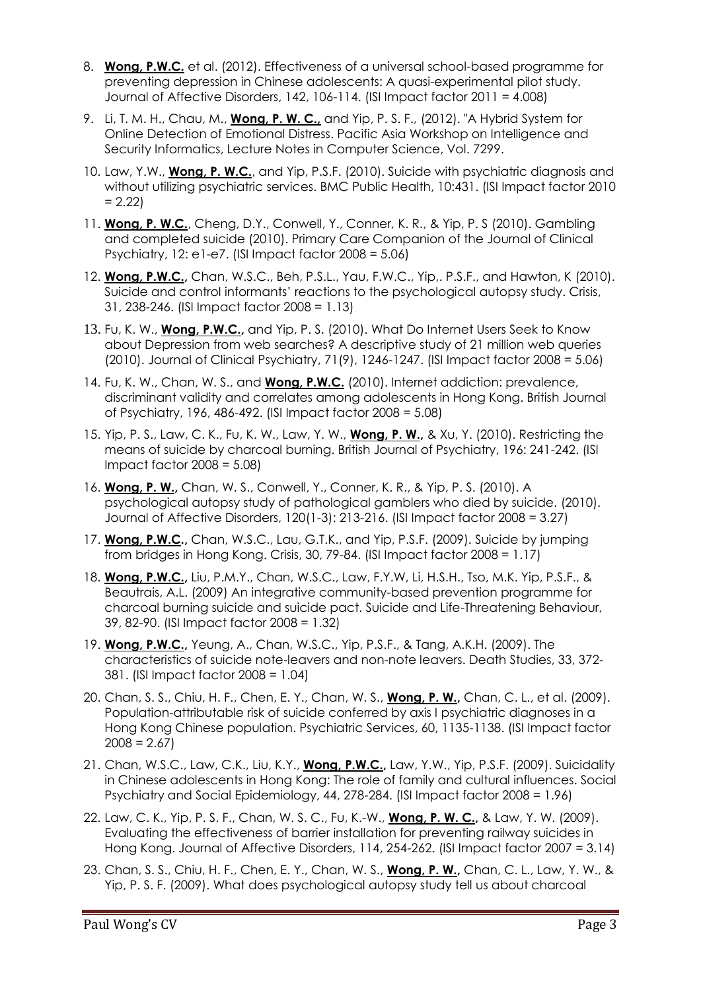- 8. **Wong, P.W.C.** et al. (2012). Effectiveness of a universal school-based programme for preventing depression in Chinese adolescents: A quasi-experimental pilot study. Journal of Affective Disorders, 142, 106-114. (ISI Impact factor 2011 = 4.008)
- 9. Li, T. M. H., Chau, M., **Wong, P. W. C.,** and Yip, P. S. F., (2012). "A Hybrid System for Online Detection of Emotional Distress. Pacific Asia Workshop on Intelligence and Security Informatics, Lecture Notes in Computer Science, Vol. 7299.
- 10. Law, Y.W., **Wong, P. W.C.**, and Yip, P.S.F. (2010). Suicide with psychiatric diagnosis and without utilizing psychiatric services. BMC Public Health, 10:431. (ISI Impact factor 2010  $= 2.22$
- 11. **Wong, P. W.C.**, Cheng, D.Y., Conwell, Y., Conner, K. R., & Yip, P. S (2010). Gambling and completed suicide (2010). Primary Care Companion of the Journal of Clinical Psychiatry, 12:  $e1-e7$ . (ISI Impact factor  $2008 = 5.06$ )
- 12. **Wong, P.W.C.,** Chan, W.S.C., Beh, P.S.L., Yau, F.W.C., Yip,. P.S.F., and Hawton, K (2010). Suicide and control informants' reactions to the psychological autopsy study. Crisis, 31, 238-246. (ISI Impact factor 2008 = 1.13)
- 13. Fu, K. W., **Wong, P.W.C.,** and Yip, P. S. (2010). What Do Internet Users Seek to Know about Depression from web searches? A descriptive study of 21 million web queries (2010). Journal of Clinical Psychiatry, 71(9), 1246-1247. (ISI Impact factor 2008 = 5.06)
- 14. Fu, K. W., Chan, W. S., and **Wong, P.W.C.** (2010). Internet addiction: prevalence, discriminant validity and correlates among adolescents in Hong Kong. British Journal of Psychiatry, 196, 486-492. (ISI Impact factor 2008 = 5.08)
- 15. Yip, P. S., Law, C. K., Fu, K. W., Law, Y. W., **Wong, P. W.,** & Xu, Y. (2010). Restricting the means of suicide by charcoal burning. British Journal of Psychiatry, 196: 241-242. (ISI Impact factor 2008 = 5.08)
- 16. **Wong, P. W.,** Chan, W. S., Conwell, Y., Conner, K. R., & Yip, P. S. (2010). A psychological autopsy study of pathological gamblers who died by suicide. (2010). Journal of Affective Disorders, 120(1-3): 213-216. (ISI Impact factor 2008 = 3.27)
- 17. **Wong, P.W.C.,** Chan, W.S.C., Lau, G.T.K., and Yip, P.S.F. (2009). Suicide by jumping from bridges in Hong Kong. Crisis, 30, 79-84. (ISI Impact factor 2008 = 1.17)
- 18. **Wong, P.W.C.,** Liu, P.M.Y., Chan, W.S.C., Law, F.Y.W, Li, H.S.H., Tso, M.K. Yip, P.S.F., & Beautrais, A.L. (2009) An integrative community-based prevention programme for charcoal burning suicide and suicide pact. Suicide and Life-Threatening Behaviour, 39, 82-90. (ISI Impact factor 2008 = 1.32)
- 19. **Wong, P.W.C.,** Yeung, A., Chan, W.S.C., Yip, P.S.F., & Tang, A.K.H. (2009). The characteristics of suicide note-leavers and non-note leavers. Death Studies, 33, 372- 381. (ISI Impact factor 2008 = 1.04)
- 20. Chan, S. S., Chiu, H. F., Chen, E. Y., Chan, W. S., **Wong, P. W.,** Chan, C. L., et al. (2009). Population-attributable risk of suicide conferred by axis I psychiatric diagnoses in a Hong Kong Chinese population. Psychiatric Services, 60, 1135-1138. (ISI Impact factor  $2008 = 2.67$
- 21. Chan, W.S.C., Law, C.K., Liu, K.Y., **Wong, P.W.C.,** Law, Y.W., Yip, P.S.F. (2009). Suicidality in Chinese adolescents in Hong Kong: The role of family and cultural influences. Social Psychiatry and Social Epidemiology, 44, 278-284. (ISI Impact factor 2008 = 1.96)
- 22. Law, C. K., Yip, P. S. F., Chan, W. S. C., Fu, K.-W., **Wong, P. W. C.,** & Law, Y. W. (2009). Evaluating the effectiveness of barrier installation for preventing railway suicides in Hong Kong. Journal of Affective Disorders, 114, 254-262. (ISI Impact factor 2007 = 3.14)
- 23. Chan, S. S., Chiu, H. F., Chen, E. Y., Chan, W. S., **Wong, P. W.,** Chan, C. L., Law, Y. W., & Yip, P. S. F. (2009). What does psychological autopsy study tell us about charcoal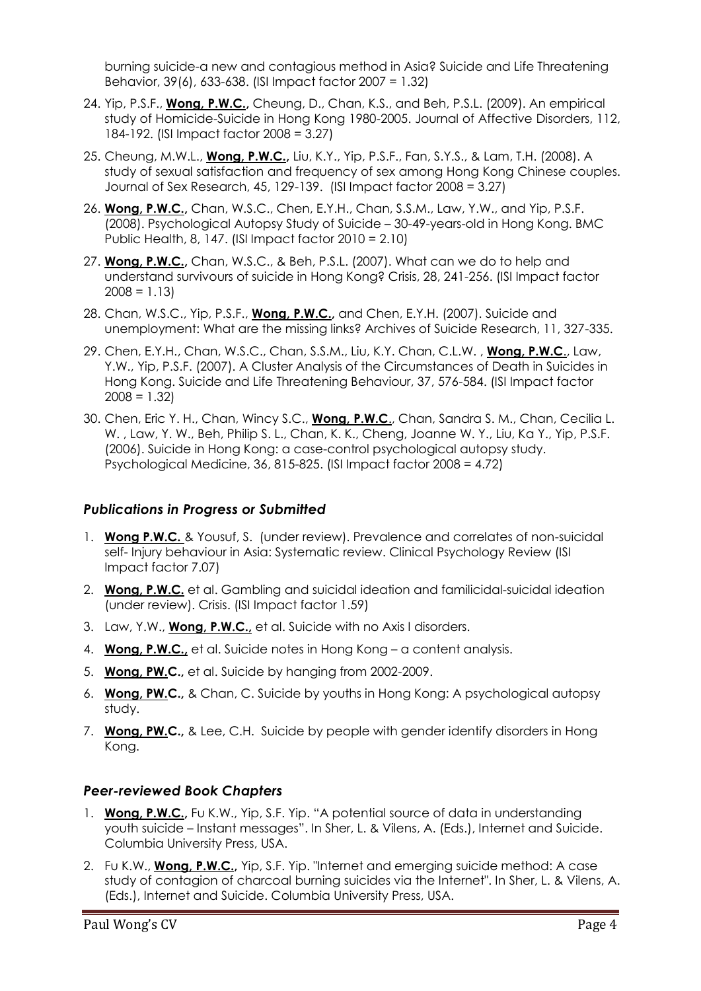burning suicide-a new and contagious method in Asia? Suicide and Life Threatening Behavior, 39(6), 633-638. (ISI Impact factor 2007 = 1.32)

- 24. Yip, P.S.F., **Wong, P.W.C.,** Cheung, D., Chan, K.S., and Beh, P.S.L. (2009). An empirical study of Homicide-Suicide in Hong Kong 1980-2005. Journal of Affective Disorders, 112, 184-192. (ISI Impact factor 2008 = 3.27)
- 25. Cheung, M.W.L., **Wong, P.W.C.,** Liu, K.Y., Yip, P.S.F., Fan, S.Y.S., & Lam, T.H. (2008). A study of sexual satisfaction and frequency of sex among Hong Kong Chinese couples. Journal of Sex Research, 45, 129-139. (ISI Impact factor 2008 = 3.27)
- 26. **Wong, P.W.C.,** Chan, W.S.C., Chen, E.Y.H., Chan, S.S.M., Law, Y.W., and Yip, P.S.F. (2008). Psychological Autopsy Study of Suicide – 30-49-years-old in Hong Kong. BMC Public Health, 8, 147. (ISI Impact factor 2010 = 2.10)
- 27. **Wong, P.W.C.,** Chan, W.S.C., & Beh, P.S.L. (2007). What can we do to help and understand survivours of suicide in Hong Kong? Crisis, 28, 241-256. (ISI Impact factor  $2008 = 1.13$
- 28. Chan, W.S.C., Yip, P.S.F., **Wong, P.W.C.,** and Chen, E.Y.H. (2007). Suicide and unemployment: What are the missing links? Archives of Suicide Research, 11, 327-335.
- 29. Chen, E.Y.H., Chan, W.S.C., Chan, S.S.M., Liu, K.Y. Chan, C.L.W. , **Wong, P.W.C**., Law, Y.W., Yip, P.S.F. (2007). A Cluster Analysis of the Circumstances of Death in Suicides in Hong Kong. Suicide and Life Threatening Behaviour, 37, 576-584. (ISI Impact factor  $2008 = 1.32$
- 30. Chen, Eric Y. H., Chan, Wincy S.C., **Wong, P.W.C**., Chan, Sandra S. M., Chan, Cecilia L. W. , Law, Y. W., Beh, Philip S. L., Chan, K. K., Cheng, Joanne W. Y., Liu, Ka Y., Yip, P.S.F. (2006). Suicide in Hong Kong: a case-control psychological autopsy study. Psychological Medicine, 36, 815-825. (ISI Impact factor 2008 = 4.72)

## *Publications in Progress or Submitted*

- 1. **Wong P.W.C.** & Yousuf, S. (under review). Prevalence and correlates of non-suicidal self- Injury behaviour in Asia: Systematic review. Clinical Psychology Review (ISI Impact factor 7.07)
- 2. **Wong, P.W.C.** et al. Gambling and suicidal ideation and familicidal-suicidal ideation (under review). Crisis. (ISI Impact factor 1.59)
- 3. Law, Y.W., **Wong, P.W.C.,** et al. Suicide with no Axis I disorders.
- 4. **Wong, P.W.C.,** et al. Suicide notes in Hong Kong a content analysis.
- 5. **Wong, PW.C.,** et al. Suicide by hanging from 2002-2009.
- 6. **Wong, PW.C.,** & Chan, C. Suicide by youths in Hong Kong: A psychological autopsy study.
- 7. **Wong, PW.C.,** & Lee, C.H. Suicide by people with gender identify disorders in Hong Kong.

## *Peer-reviewed Book Chapters*

- 1. **Wong, P.W.C.,** Fu K.W., Yip, S.F. Yip. "A potential source of data in understanding youth suicide – Instant messages". In Sher, L. & Vilens, A. (Eds.), Internet and Suicide. Columbia University Press, USA.
- 2. Fu K.W., **Wong, P.W.C.,** Yip, S.F. Yip. "Internet and emerging suicide method: A case study of contagion of charcoal burning suicides via the Internet". In Sher, L. & Vilens, A. (Eds.), Internet and Suicide. Columbia University Press, USA.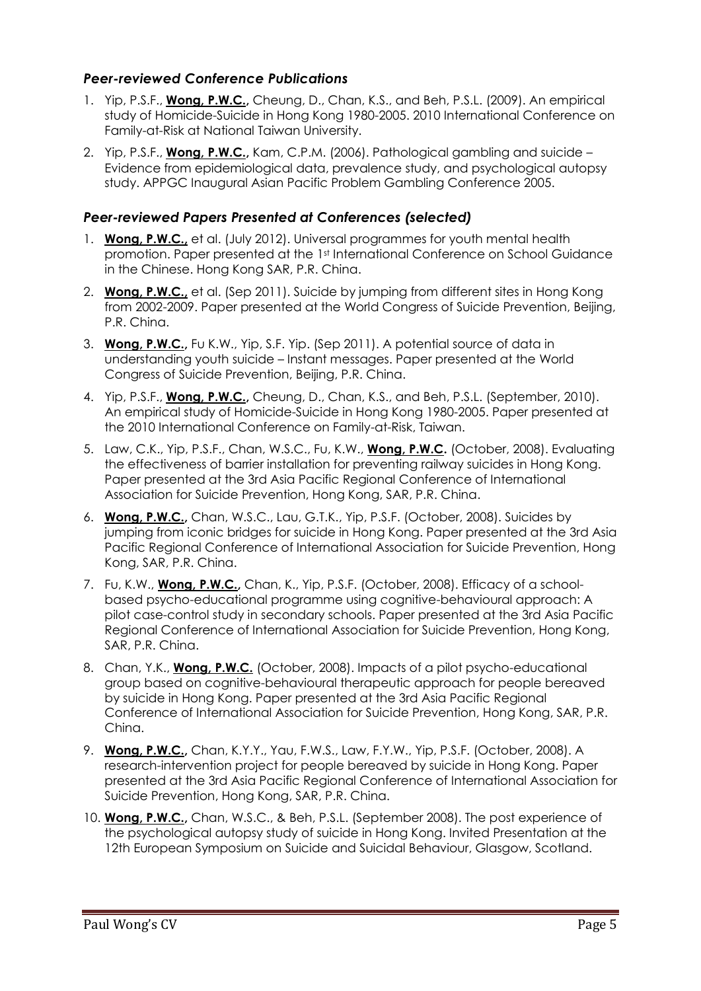## *Peer-reviewed Conference Publications*

- 1. Yip, P.S.F., **Wong, P.W.C.,** Cheung, D., Chan, K.S., and Beh, P.S.L. (2009). An empirical study of Homicide-Suicide in Hong Kong 1980-2005. 2010 International Conference on Family-at-Risk at National Taiwan University.
- 2. Yip, P.S.F., **Wong, P.W.C.,** Kam, C.P.M. (2006). Pathological gambling and suicide Evidence from epidemiological data, prevalence study, and psychological autopsy study. APPGC Inaugural Asian Pacific Problem Gambling Conference 2005.

## *Peer-reviewed Papers Presented at Conferences (selected)*

- 1. **Wong, P.W.C.,** et al. (July 2012). Universal programmes for youth mental health promotion. Paper presented at the 1st International Conference on School Guidance in the Chinese. Hong Kong SAR, P.R. China.
- 2. **Wong, P.W.C.,** et al. (Sep 2011). Suicide by jumping from different sites in Hong Kong from 2002-2009. Paper presented at the World Congress of Suicide Prevention, Beijing, P.R. China.
- 3. **Wong, P.W.C.,** Fu K.W., Yip, S.F. Yip. (Sep 2011). A potential source of data in understanding youth suicide – Instant messages. Paper presented at the World Congress of Suicide Prevention, Beijing, P.R. China.
- 4. Yip, P.S.F., **Wong, P.W.C.,** Cheung, D., Chan, K.S., and Beh, P.S.L. (September, 2010). An empirical study of Homicide-Suicide in Hong Kong 1980-2005. Paper presented at the 2010 International Conference on Family-at-Risk, Taiwan.
- 5. Law, C.K., Yip, P.S.F., Chan, W.S.C., Fu, K.W., **Wong, P.W.C.** (October, 2008). Evaluating the effectiveness of barrier installation for preventing railway suicides in Hong Kong. Paper presented at the 3rd Asia Pacific Regional Conference of International Association for Suicide Prevention, Hong Kong, SAR, P.R. China.
- 6. **Wong, P.W.C.,** Chan, W.S.C., Lau, G.T.K., Yip, P.S.F. (October, 2008). Suicides by jumping from iconic bridges for suicide in Hong Kong. Paper presented at the 3rd Asia Pacific Regional Conference of International Association for Suicide Prevention, Hong Kong, SAR, P.R. China.
- 7. Fu, K.W., **Wong, P.W.C.,** Chan, K., Yip, P.S.F. (October, 2008). Efficacy of a schoolbased psycho-educational programme using cognitive-behavioural approach: A pilot case-control study in secondary schools. Paper presented at the 3rd Asia Pacific Regional Conference of International Association for Suicide Prevention, Hong Kong, SAR, P.R. China.
- 8. Chan, Y.K., **Wong, P.W.C.** (October, 2008). Impacts of a pilot psycho-educational group based on cognitive-behavioural therapeutic approach for people bereaved by suicide in Hong Kong. Paper presented at the 3rd Asia Pacific Regional Conference of International Association for Suicide Prevention, Hong Kong, SAR, P.R. China.
- 9. **Wong, P.W.C.,** Chan, K.Y.Y., Yau, F.W.S., Law, F.Y.W., Yip, P.S.F. (October, 2008). A research-intervention project for people bereaved by suicide in Hong Kong. Paper presented at the 3rd Asia Pacific Regional Conference of International Association for Suicide Prevention, Hong Kong, SAR, P.R. China.
- 10. **Wong, P.W.C.,** Chan, W.S.C., & Beh, P.S.L. (September 2008). The post experience of the psychological autopsy study of suicide in Hong Kong. Invited Presentation at the 12th European Symposium on Suicide and Suicidal Behaviour, Glasgow, Scotland.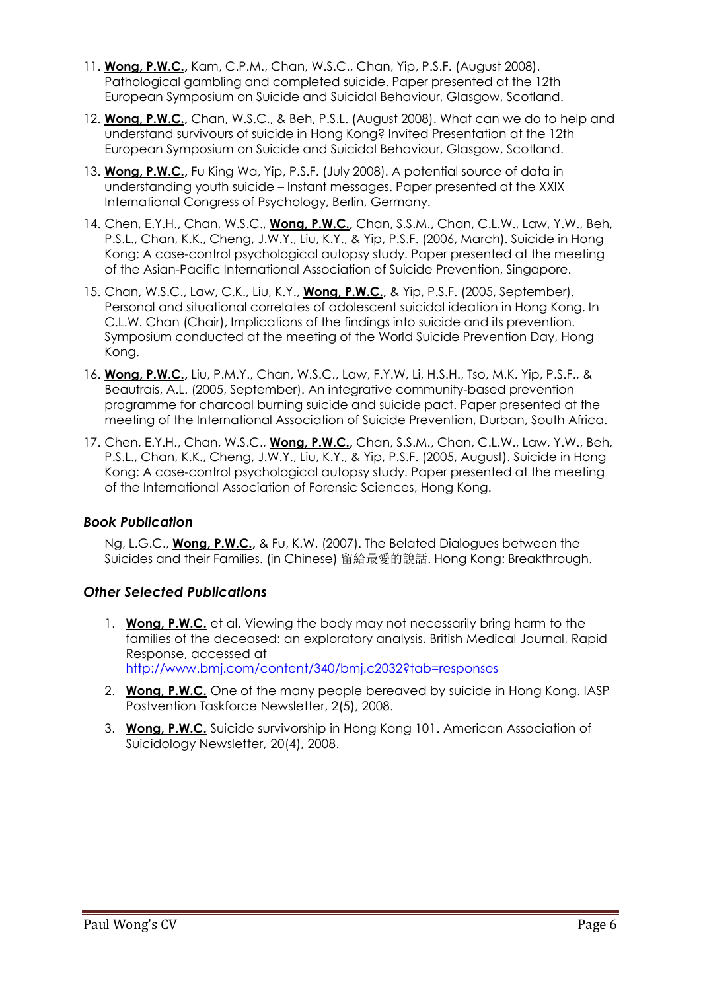- 11. **Wong, P.W.C.,** Kam, C.P.M., Chan, W.S.C., Chan, Yip, P.S.F. (August 2008). Pathological gambling and completed suicide. Paper presented at the 12th European Symposium on Suicide and Suicidal Behaviour, Glasgow, Scotland.
- 12. **Wong, P.W.C.,** Chan, W.S.C., & Beh, P.S.L. (August 2008). What can we do to help and understand survivours of suicide in Hong Kong? Invited Presentation at the 12th European Symposium on Suicide and Suicidal Behaviour, Glasgow, Scotland.
- 13. **Wong, P.W.C.,** Fu King Wa, Yip, P.S.F. (July 2008). A potential source of data in understanding youth suicide – Instant messages. Paper presented at the XXIX International Congress of Psychology, Berlin, Germany.
- 14. Chen, E.Y.H., Chan, W.S.C., **Wong, P.W.C.,** Chan, S.S.M., Chan, C.L.W., Law, Y.W., Beh, P.S.L., Chan, K.K., Cheng, J.W.Y., Liu, K.Y., & Yip, P.S.F. (2006, March). Suicide in Hong Kong: A case-control psychological autopsy study. Paper presented at the meeting of the Asian-Pacific International Association of Suicide Prevention, Singapore.
- 15. Chan, W.S.C., Law, C.K., Liu, K.Y., **Wong, P.W.C.,** & Yip, P.S.F. (2005, September). Personal and situational correlates of adolescent suicidal ideation in Hong Kong. In C.L.W. Chan (Chair), Implications of the findings into suicide and its prevention. Symposium conducted at the meeting of the World Suicide Prevention Day, Hong Kong.
- 16. **Wong, P.W.C.,** Liu, P.M.Y., Chan, W.S.C., Law, F.Y.W, Li, H.S.H., Tso, M.K. Yip, P.S.F., & Beautrais, A.L. (2005, September). An integrative community-based prevention programme for charcoal burning suicide and suicide pact. Paper presented at the meeting of the International Association of Suicide Prevention, Durban, South Africa.
- 17. Chen, E.Y.H., Chan, W.S.C., **Wong, P.W.C.,** Chan, S.S.M., Chan, C.L.W., Law, Y.W., Beh, P.S.L., Chan, K.K., Cheng, J.W.Y., Liu, K.Y., & Yip, P.S.F. (2005, August). Suicide in Hong Kong: A case-control psychological autopsy study. Paper presented at the meeting of the International Association of Forensic Sciences, Hong Kong.

## *Book Publication*

Ng, L.G.C., **Wong, P.W.C.,** & Fu, K.W. (2007). The Belated Dialogues between the Suicides and their Families. (in Chinese) 留給最愛的說話. Hong Kong: Breakthrough.

## *Other Selected Publications*

- 1. **Wong, P.W.C.** et al. Viewing the body may not necessarily bring harm to the families of the deceased: an exploratory analysis, British Medical Journal, Rapid Response, accessed at <http://www.bmj.com/content/340/bmj.c2032?tab=responses>
- 2. **Wong, P.W.C.** One of the many people bereaved by suicide in Hong Kong. IASP Postvention Taskforce Newsletter, 2(5), 2008.
- 3. **Wong, P.W.C.** Suicide survivorship in Hong Kong 101. American Association of Suicidology Newsletter, 20(4), 2008.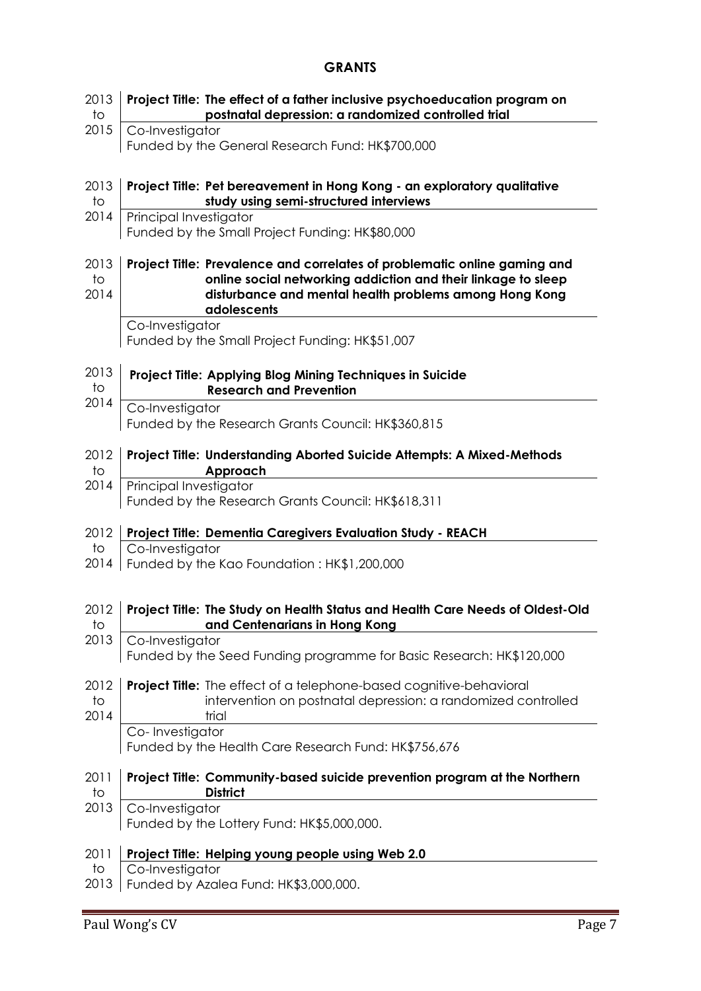#### **GRANTS**

| 2013<br>to                     | Project Title: The effect of a father inclusive psychoeducation program on<br>postnatal depression: a randomized controlled trial                                                                                   |
|--------------------------------|---------------------------------------------------------------------------------------------------------------------------------------------------------------------------------------------------------------------|
| 2015                           | Co-Investigator<br>Funded by the General Research Fund: HK\$700,000                                                                                                                                                 |
| 2013<br>to                     | Project Title: Pet bereavement in Hong Kong - an exploratory qualitative<br>study using semi-structured interviews                                                                                                  |
| 2014                           | Principal Investigator<br>Funded by the Small Project Funding: HK\$80,000                                                                                                                                           |
| 2013<br>$\overline{1}$<br>2014 | Project Title: Prevalence and correlates of problematic online gaming and<br>online social networking addiction and their linkage to sleep<br>disturbance and mental health problems among Hong Kong<br>adolescents |
|                                | Co-Investigator<br>Funded by the Small Project Funding: HK\$51,007                                                                                                                                                  |
| 2013<br>to                     | Project Title: Applying Blog Mining Techniques in Suicide<br><b>Research and Prevention</b>                                                                                                                         |
| 2014                           | Co-Investigator<br>Funded by the Research Grants Council: HK\$360,815                                                                                                                                               |
| 2012<br>to                     | Project Title: Understanding Aborted Suicide Attempts: A Mixed-Methods<br>Approach                                                                                                                                  |
| 2014                           | Principal Investigator<br>Funded by the Research Grants Council: HK\$618,311                                                                                                                                        |
| 2012                           | Project Title: Dementia Caregivers Evaluation Study - REACH                                                                                                                                                         |
| to<br>2014                     | Co-Investigator<br>Funded by the Kao Foundation: HK\$1,200,000                                                                                                                                                      |
| 2012<br>to                     | Project Title: The Study on Health Status and Health Care Needs of Oldest-Old<br>and Centenarians in Hong Kong                                                                                                      |
| 2013                           | Co-Investigator<br>Funded by the Seed Funding programme for Basic Research: HK\$120,000                                                                                                                             |
| 2012<br>to<br>2014             | <b>Project Title:</b> The effect of a telephone-based cognitive-behavioral<br>intervention on postnatal depression: a randomized controlled<br>trial                                                                |
|                                | Co-Investigator<br>Funded by the Health Care Research Fund: HK\$756,676                                                                                                                                             |
| 2011<br>to                     | Project Title: Community-based suicide prevention program at the Northern<br><b>District</b>                                                                                                                        |
| 2013                           | Co-Investigator<br>Funded by the Lottery Fund: HK\$5,000,000.                                                                                                                                                       |
| 2011                           | Project Title: Helping young people using Web 2.0                                                                                                                                                                   |
| to<br>2013                     | Co-Investigator<br>Funded by Azalea Fund: HK\$3,000,000.                                                                                                                                                            |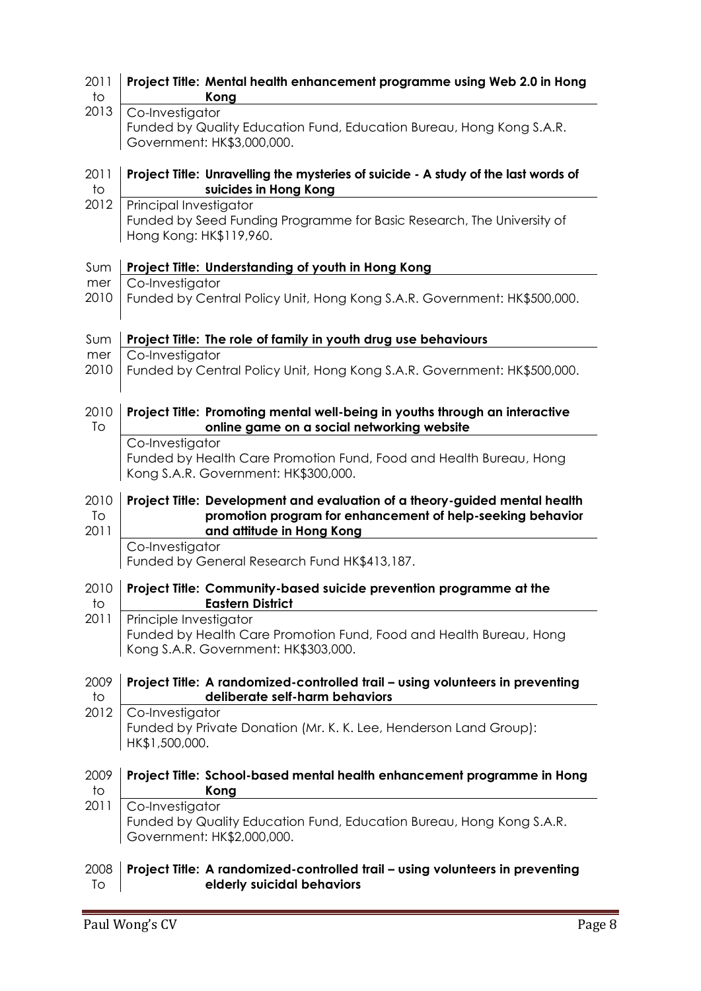| 2011<br>to         | Project Title: Mental health enhancement programme using Web 2.0 in Hong<br>Kong                                                                                      |
|--------------------|-----------------------------------------------------------------------------------------------------------------------------------------------------------------------|
| 2013               | Co-Investigator<br>Funded by Quality Education Fund, Education Bureau, Hong Kong S.A.R.<br>Government: HK\$3,000,000.                                                 |
| 2011<br>to         | Project Title: Unravelling the mysteries of suicide - A study of the last words of<br>suicides in Hong Kong                                                           |
| 2012               | Principal Investigator<br>Funded by Seed Funding Programme for Basic Research, The University of<br>Hong Kong: HK\$119,960.                                           |
| Sum                | Project Title: Understanding of youth in Hong Kong                                                                                                                    |
| mer<br>2010        | Co-Investigator<br>Funded by Central Policy Unit, Hong Kong S.A.R. Government: HK\$500,000.                                                                           |
| Sum                | Project Title: The role of family in youth drug use behaviours                                                                                                        |
| mer<br>2010        | Co-Investigator<br>Funded by Central Policy Unit, Hong Kong S.A.R. Government: HK\$500,000.                                                                           |
| 2010<br>To         | Project Title: Promoting mental well-being in youths through an interactive<br>online game on a social networking website                                             |
|                    | Co-Investigator<br>Funded by Health Care Promotion Fund, Food and Health Bureau, Hong<br>Kong S.A.R. Government: HK\$300,000.                                         |
| 2010<br>To<br>2011 | Project Title: Development and evaluation of a theory-guided mental health<br>promotion program for enhancement of help-seeking behavior<br>and attitude in Hong Kong |
|                    | Co-Investigator<br>Funded by General Research Fund HK\$413,187.                                                                                                       |
| 2010<br>tΟ         | Project Title: Community-based suicide prevention programme at the<br><b>Eastern District</b>                                                                         |
| 2011               |                                                                                                                                                                       |
|                    | Principle Investigator<br>Funded by Health Care Promotion Fund, Food and Health Bureau, Hong<br>Kong S.A.R. Government: HK\$303,000.                                  |
| 2009<br>to         | Project Title: A randomized-controlled trail - using volunteers in preventing<br>deliberate self-harm behaviors                                                       |
| 2012               | Co-Investigator<br>Funded by Private Donation (Mr. K. K. Lee, Henderson Land Group):<br>HK\$1,500,000.                                                                |
| 2009<br>to         | Project Title: School-based mental health enhancement programme in Hong<br>Kong                                                                                       |
| 2011               | Co-Investigator<br>Funded by Quality Education Fund, Education Bureau, Hong Kong S.A.R.<br>Government: HK\$2,000,000.                                                 |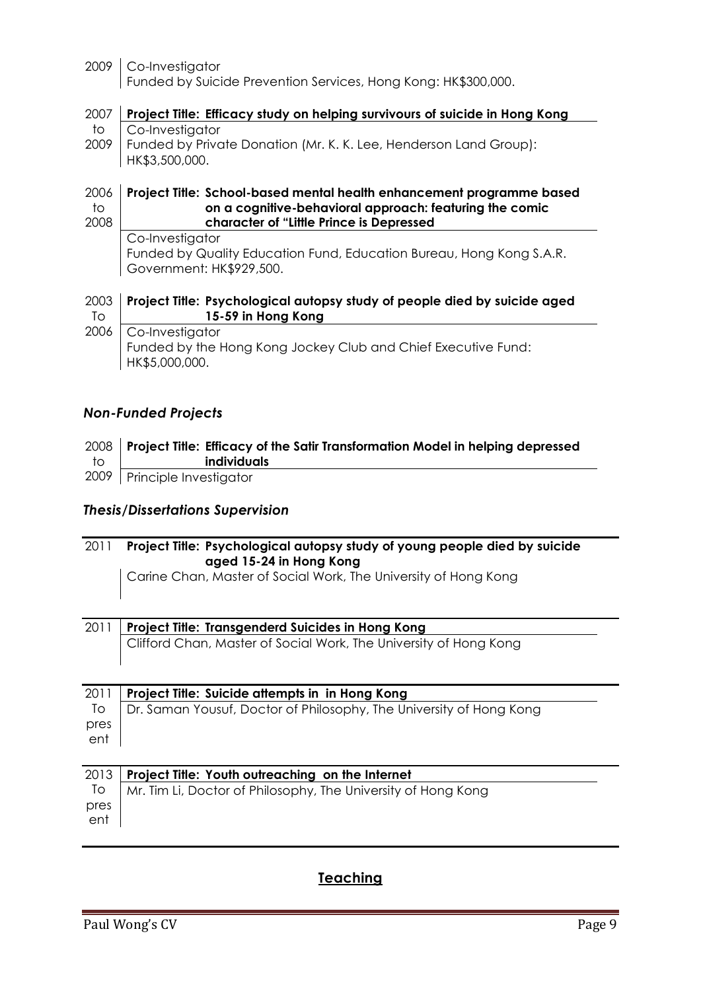2009 Co-Investigator Funded by Suicide Prevention Services, Hong Kong: HK\$300,000.

| 2007   Project Title: Efficacy study on helping survivours of suicide in Hong Kong |
|------------------------------------------------------------------------------------|
| to   Co-Investigator                                                               |
| 2009   Funded by Private Donation (Mr. K. K. Lee, Henderson Land Group):           |
| HK\$3,500,000.                                                                     |

#### 2006 to 2008 **Project Title: School-based mental health enhancement programme based on a cognitive-behavioral approach: featuring the comic character of "Little Prince is Depressed**

Co-Investigator Funded by Quality Education Fund, Education Bureau, Hong Kong S.A.R. Government: HK\$929,500.

#### 2003 To 2006 **Project Title: Psychological autopsy study of people died by suicide aged 15-59 in Hong Kong** Co-Investigator

Funded by the Hong Kong Jockey Club and Chief Executive Fund: HK\$5,000,000.

## *Non-Funded Projects*

|    | 2008   Project Title: Efficacy of the Satir Transformation Model in helping depressed |
|----|---------------------------------------------------------------------------------------|
| to | individuals                                                                           |
|    | 2009   Principle Investigator                                                         |

## *Thesis/Dissertations Supervision*

| 2011 | Project Title: Psychological autopsy study of young people died by suicide<br>aged 15-24 in Hong Kong<br>Carine Chan, Master of Social Work, The University of Hong Kong |
|------|--------------------------------------------------------------------------------------------------------------------------------------------------------------------------|
| 2011 | <b>Project Title: Transgenderd Suicides in Hong Kong</b>                                                                                                                 |
|      | Clifford Chan, Master of Social Work, The University of Hong Kong                                                                                                        |
| 2011 | Project Title: Suicide attempts in in Hong Kong                                                                                                                          |
| To   | Dr. Saman Yousuf, Doctor of Philosophy, The University of Hong Kong                                                                                                      |
| pres |                                                                                                                                                                          |
| ent  |                                                                                                                                                                          |
|      |                                                                                                                                                                          |
| 2013 | Project Title: Youth outreaching on the Internet                                                                                                                         |
| To   | Mr. Tim Li, Doctor of Philosophy, The University of Hong Kong                                                                                                            |
| pres |                                                                                                                                                                          |
| ent  |                                                                                                                                                                          |
|      |                                                                                                                                                                          |

## **Teaching**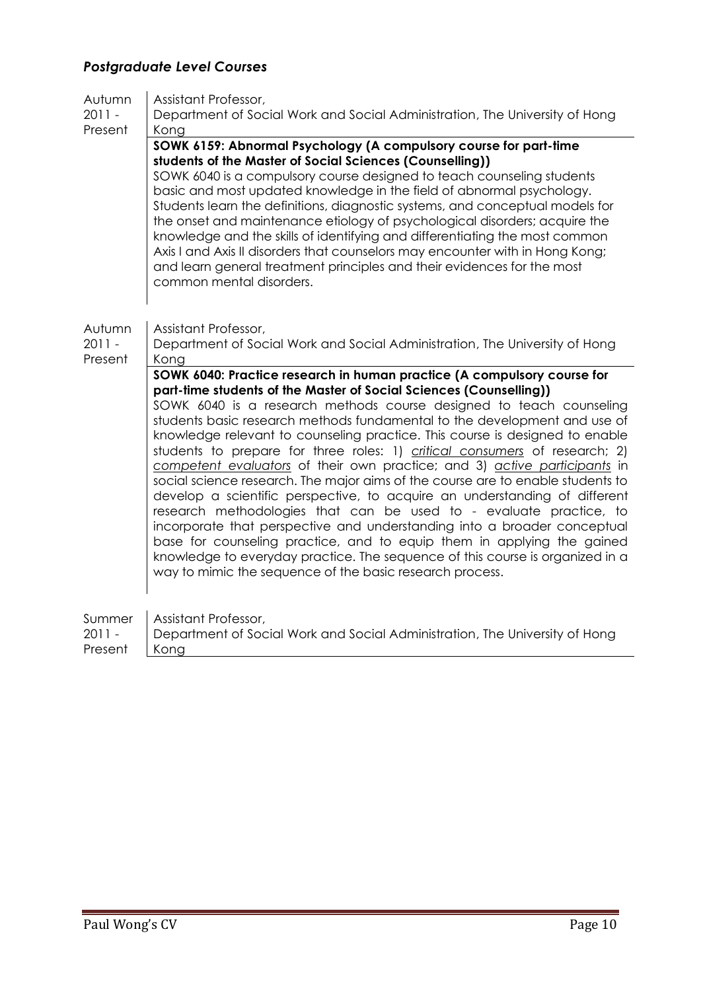# *Postgraduate Level Courses*

| Autumn   | Assistant Professor,                                                                                                                                                                                                                                                                                                                                                                                                                                                                                                                                                                                                                                                                                                                                                                                                                                                                                                                                                                                                                                                                   |
|----------|----------------------------------------------------------------------------------------------------------------------------------------------------------------------------------------------------------------------------------------------------------------------------------------------------------------------------------------------------------------------------------------------------------------------------------------------------------------------------------------------------------------------------------------------------------------------------------------------------------------------------------------------------------------------------------------------------------------------------------------------------------------------------------------------------------------------------------------------------------------------------------------------------------------------------------------------------------------------------------------------------------------------------------------------------------------------------------------|
| $2011 -$ | Department of Social Work and Social Administration, The University of Hong                                                                                                                                                                                                                                                                                                                                                                                                                                                                                                                                                                                                                                                                                                                                                                                                                                                                                                                                                                                                            |
| Present  | Kong                                                                                                                                                                                                                                                                                                                                                                                                                                                                                                                                                                                                                                                                                                                                                                                                                                                                                                                                                                                                                                                                                   |
|          | SOWK 6159: Abnormal Psychology (A compulsory course for part-time<br>students of the Master of Social Sciences (Counselling))<br>SOWK 6040 is a compulsory course designed to teach counseling students<br>basic and most updated knowledge in the field of abnormal psychology.<br>Students learn the definitions, diagnostic systems, and conceptual models for<br>the onset and maintenance etiology of psychological disorders; acquire the<br>knowledge and the skills of identifying and differentiating the most common<br>Axis I and Axis II disorders that counselors may encounter with in Hong Kong;<br>and learn general treatment principles and their evidences for the most<br>common mental disorders.                                                                                                                                                                                                                                                                                                                                                                 |
| Autumn   | Assistant Professor,                                                                                                                                                                                                                                                                                                                                                                                                                                                                                                                                                                                                                                                                                                                                                                                                                                                                                                                                                                                                                                                                   |
| $2011 -$ | Department of Social Work and Social Administration, The University of Hong                                                                                                                                                                                                                                                                                                                                                                                                                                                                                                                                                                                                                                                                                                                                                                                                                                                                                                                                                                                                            |
| Present  | Kong                                                                                                                                                                                                                                                                                                                                                                                                                                                                                                                                                                                                                                                                                                                                                                                                                                                                                                                                                                                                                                                                                   |
|          | SOWK 6040: Practice research in human practice (A compulsory course for<br>part-time students of the Master of Social Sciences (Counselling))<br>SOWK 6040 is a research methods course designed to teach counseling<br>students basic research methods fundamental to the development and use of<br>knowledge relevant to counseling practice. This course is designed to enable<br>students to prepare for three roles: 1) critical consumers of research; 2)<br>competent evaluators of their own practice; and 3) active participants in<br>social science research. The major aims of the course are to enable students to<br>develop a scientific perspective, to acquire an understanding of different<br>research methodologies that can be used to - evaluate practice, to<br>incorporate that perspective and understanding into a broader conceptual<br>base for counseling practice, and to equip them in applying the gained<br>knowledge to everyday practice. The sequence of this course is organized in a<br>way to mimic the sequence of the basic research process. |
| Summer   | Assistant Professor,                                                                                                                                                                                                                                                                                                                                                                                                                                                                                                                                                                                                                                                                                                                                                                                                                                                                                                                                                                                                                                                                   |
| $2011 -$ | Department of Social Work and Social Administration, The University of Hong                                                                                                                                                                                                                                                                                                                                                                                                                                                                                                                                                                                                                                                                                                                                                                                                                                                                                                                                                                                                            |
| Present  | Kong                                                                                                                                                                                                                                                                                                                                                                                                                                                                                                                                                                                                                                                                                                                                                                                                                                                                                                                                                                                                                                                                                   |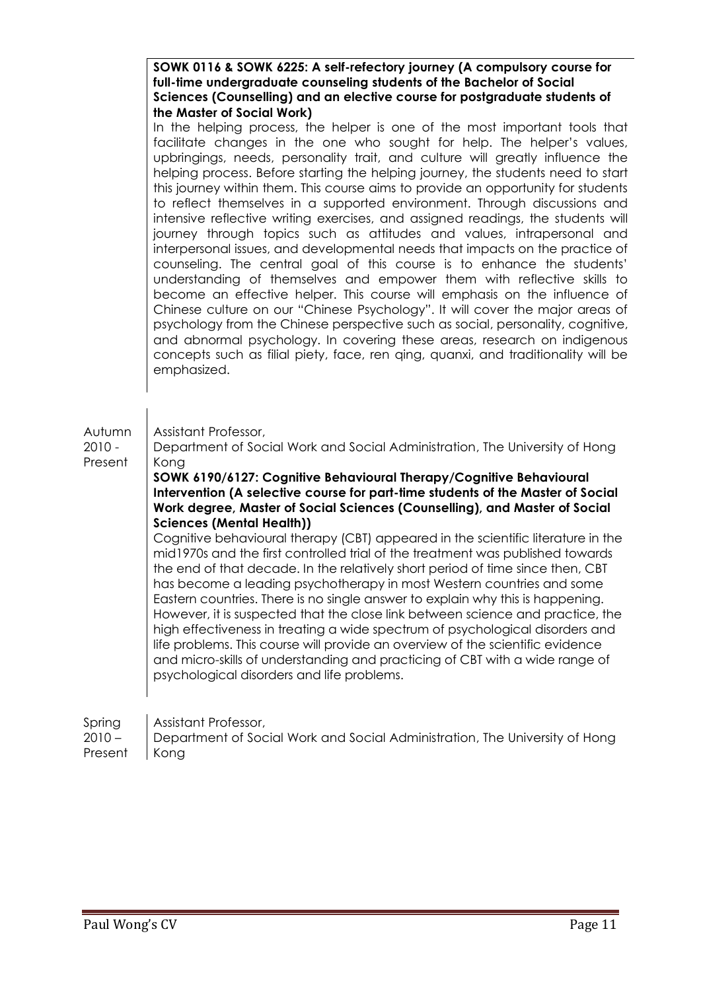|                             | SOWK 0116 & SOWK 6225: A self-refectory journey (A compulsory course for<br>full-time undergraduate counseling students of the Bachelor of Social<br>Sciences (Counselling) and an elective course for postgraduate students of<br>the Master of Social Work)                                                                                                                                                                                                                                                                                                                                                                                                                                                                                                                                                                                                                                                                                                                                                                                                                                                                                                                                                                                                                                                                     |
|-----------------------------|-----------------------------------------------------------------------------------------------------------------------------------------------------------------------------------------------------------------------------------------------------------------------------------------------------------------------------------------------------------------------------------------------------------------------------------------------------------------------------------------------------------------------------------------------------------------------------------------------------------------------------------------------------------------------------------------------------------------------------------------------------------------------------------------------------------------------------------------------------------------------------------------------------------------------------------------------------------------------------------------------------------------------------------------------------------------------------------------------------------------------------------------------------------------------------------------------------------------------------------------------------------------------------------------------------------------------------------|
|                             | In the helping process, the helper is one of the most important tools that<br>facilitate changes in the one who sought for help. The helper's values,<br>upbringings, needs, personality trait, and culture will greatly influence the<br>helping process. Before starting the helping journey, the students need to start<br>this journey within them. This course aims to provide an opportunity for students<br>to reflect themselves in a supported environment. Through discussions and<br>intensive reflective writing exercises, and assigned readings, the students will<br>journey through topics such as attitudes and values, intrapersonal and<br>interpersonal issues, and developmental needs that impacts on the practice of<br>counseling. The central goal of this course is to enhance the students'<br>understanding of themselves and empower them with reflective skills to<br>become an effective helper. This course will emphasis on the influence of<br>Chinese culture on our "Chinese Psychology". It will cover the major areas of<br>psychology from the Chinese perspective such as social, personality, cognitive,<br>and abnormal psychology. In covering these areas, research on indigenous<br>concepts such as filial piety, face, ren ging, quanxi, and traditionality will be<br>emphasized. |
| Autumn<br>2010 -<br>Present | Assistant Professor,<br>Department of Social Work and Social Administration, The University of Hong<br>Kong<br>SOWK 6190/6127: Cognitive Behavioural Therapy/Cognitive Behavioural<br>Intervention (A selective course for part-time students of the Master of Social<br>Work degree, Master of Social Sciences (Counselling), and Master of Social<br><b>Sciences (Mental Health))</b><br>Cognitive behavioural therapy (CBT) appeared in the scientific literature in the<br>mid1970s and the first controlled trial of the treatment was published towards<br>the end of that decade. In the relatively short period of time since then, CBT<br>has become a leading psychotherapy in most Western countries and some<br>Eastern countries. There is no single answer to explain why this is happening.<br>However, it is suspected that the close link between science and practice, the<br>high effectiveness in treating a wide spectrum of psychological disorders and<br>life problems. This course will provide an overview of the scientific evidence<br>and micro-skills of understanding and practicing of CBT with a wide range of<br>psychological disorders and life problems.                                                                                                                                     |
| Spring                      | Assistant Professor,                                                                                                                                                                                                                                                                                                                                                                                                                                                                                                                                                                                                                                                                                                                                                                                                                                                                                                                                                                                                                                                                                                                                                                                                                                                                                                              |

2010 – Present Department of Social Work and Social Administration, The University of Hong Kong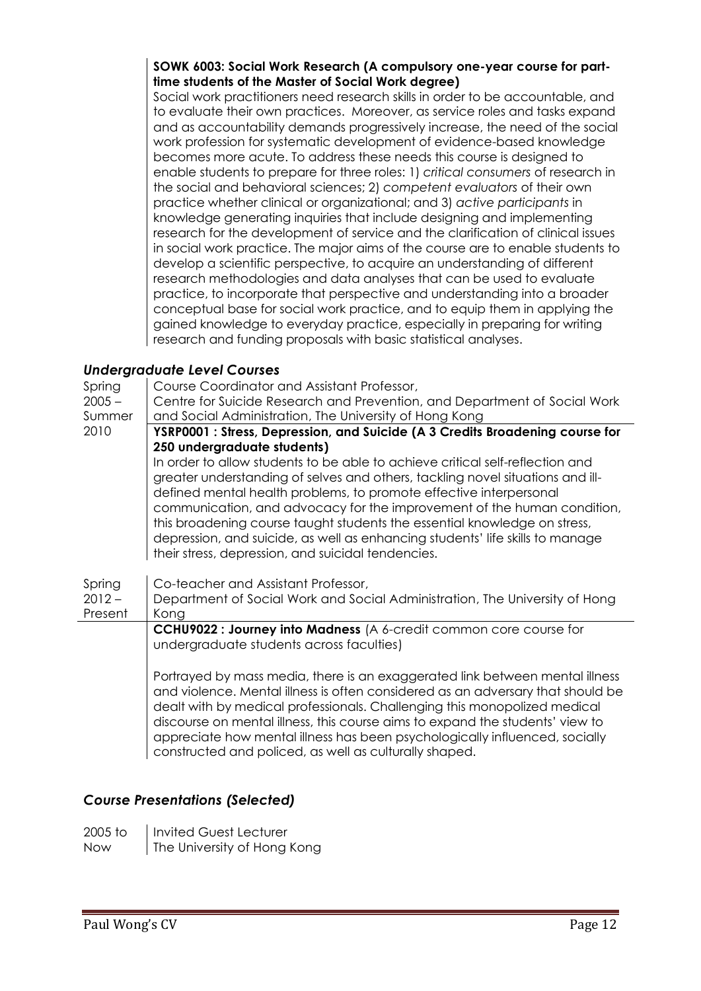#### **SOWK 6003: Social Work Research (A compulsory one-year course for parttime students of the Master of Social Work degree)**

Social work practitioners need research skills in order to be accountable, and to evaluate their own practices. Moreover, as service roles and tasks expand and as accountability demands progressively increase, the need of the social work profession for systematic development of evidence-based knowledge becomes more acute. To address these needs this course is designed to enable students to prepare for three roles: 1) *critical consumers* of research in the social and behavioral sciences; 2) *competent evaluators* of their own practice whether clinical or organizational; and 3) *active participants* in knowledge generating inquiries that include designing and implementing research for the development of service and the clarification of clinical issues in social work practice. The major aims of the course are to enable students to develop a scientific perspective, to acquire an understanding of different research methodologies and data analyses that can be used to evaluate practice, to incorporate that perspective and understanding into a broader conceptual base for social work practice, and to equip them in applying the gained knowledge to everyday practice, especially in preparing for writing research and funding proposals with basic statistical analyses.

## *Undergraduate Level Courses*

Spring  $2005 -$ Summer 2010 Course Coordinator and Assistant Professor, Centre for Suicide Research and Prevention, and Department of Social Work and Social Administration, The University of Hong Kong **YSRP0001 : Stress, Depression, and Suicide (A 3 Credits Broadening course for 250 undergraduate students)** In order to allow students to be able to achieve critical self-reflection and greater understanding of selves and others, tackling novel situations and illdefined mental health problems, to promote effective interpersonal communication, and advocacy for the improvement of the human condition, this broadening course taught students the essential knowledge on stress, depression, and suicide, as well as enhancing students' life skills to manage their stress, depression, and suicidal tendencies. Spring  $2012 -$ Present Co-teacher and Assistant Professor, Department of Social Work and Social Administration, The University of Hong Kong **CCHU9022 : Journey into Madness** (A 6-credit common core course for undergraduate students across faculties) Portrayed by mass media, there is an exaggerated link between mental illness and violence. Mental illness is often considered as an adversary that should be dealt with by medical professionals. Challenging this monopolized medical discourse on mental illness, this course aims to expand the students' view to appreciate how mental illness has been psychologically influenced, socially constructed and policed, as well as culturally shaped.

## *Course Presentations (Selected)*

| 2005 to | Invited Guest Lecturer      |
|---------|-----------------------------|
| Now     | The University of Hong Kong |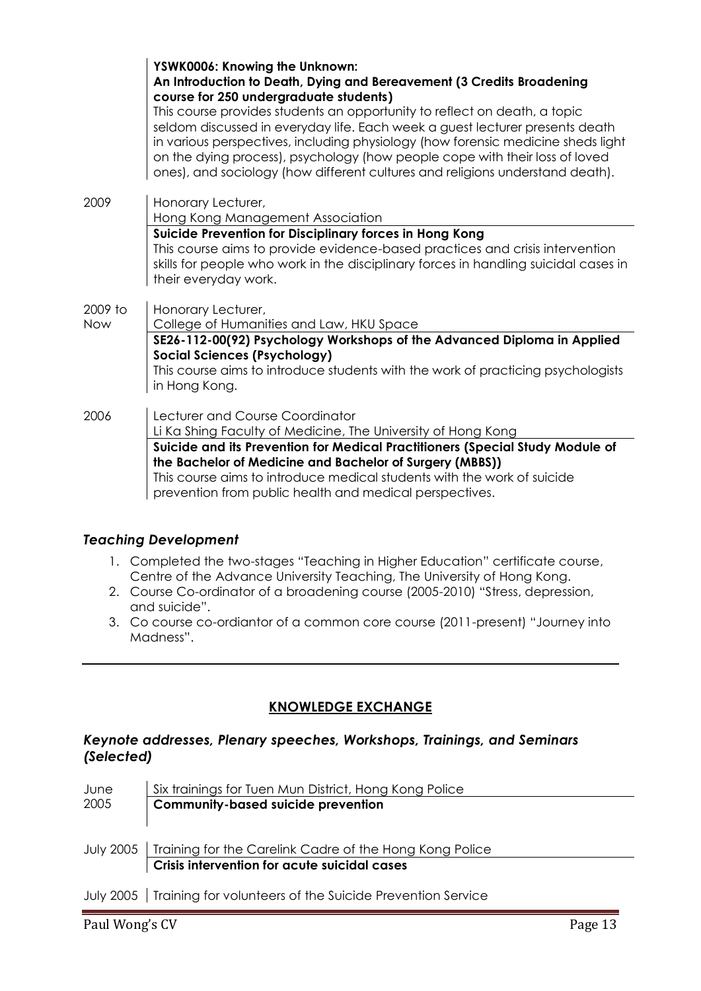|         | YSWK0006: Knowing the Unknown:<br>An Introduction to Death, Dying and Bereavement (3 Credits Broadening<br>course for 250 undergraduate students)<br>This course provides students an opportunity to reflect on death, a topic<br>seldom discussed in everyday life. Each week a guest lecturer presents death<br>in various perspectives, including physiology (how forensic medicine sheds light<br>on the dying process), psychology (how people cope with their loss of loved<br>ones), and sociology (how different cultures and religions understand death). |
|---------|--------------------------------------------------------------------------------------------------------------------------------------------------------------------------------------------------------------------------------------------------------------------------------------------------------------------------------------------------------------------------------------------------------------------------------------------------------------------------------------------------------------------------------------------------------------------|
| 2009    | Honorary Lecturer,<br>Hong Kong Management Association                                                                                                                                                                                                                                                                                                                                                                                                                                                                                                             |
|         | Suicide Prevention for Disciplinary forces in Hong Kong<br>This course aims to provide evidence-based practices and crisis intervention<br>skills for people who work in the disciplinary forces in handling suicidal cases in<br>their everyday work.                                                                                                                                                                                                                                                                                                             |
| 2009 to | Honorary Lecturer,                                                                                                                                                                                                                                                                                                                                                                                                                                                                                                                                                 |
| Now     | College of Humanities and Law, HKU Space<br>SE26-112-00(92) Psychology Workshops of the Advanced Diploma in Applied<br><b>Social Sciences (Psychology)</b><br>This course aims to introduce students with the work of practicing psychologists<br>in Hong Kong.                                                                                                                                                                                                                                                                                                    |
| 2006    | Lecturer and Course Coordinator<br>Li Ka Shing Faculty of Medicine, The University of Hong Kong                                                                                                                                                                                                                                                                                                                                                                                                                                                                    |
|         | Suicide and its Prevention for Medical Practitioners (Special Study Module of<br>the Bachelor of Medicine and Bachelor of Surgery (MBBS))<br>This course aims to introduce medical students with the work of suicide<br>prevention from public health and medical perspectives.                                                                                                                                                                                                                                                                                    |

## *Teaching Development*

- 1. Completed the two-stages "Teaching in Higher Education" certificate course, Centre of the Advance University Teaching, The University of Hong Kong.
- 2. Course Co-ordinator of a broadening course (2005-2010) "Stress, depression, and suicide".
- 3. Co course co-ordiantor of a common core course (2011-present) "Journey into Madness".

## **KNOWLEDGE EXCHANGE**

#### *Keynote addresses, Plenary speeches, Workshops, Trainings, and Seminars (Selected)*

| June | Six trainings for Tuen Mun District, Hong Kong Police                 |  |
|------|-----------------------------------------------------------------------|--|
| 2005 | <b>Community-based suicide prevention</b>                             |  |
|      |                                                                       |  |
|      |                                                                       |  |
|      | July 2005   Training for the Carelink Cadre of the Hong Kong Police   |  |
|      | Crisis intervention for acute suicidal cases                          |  |
|      |                                                                       |  |
|      | July 2005   Training for volunteers of the Suicide Prevention Service |  |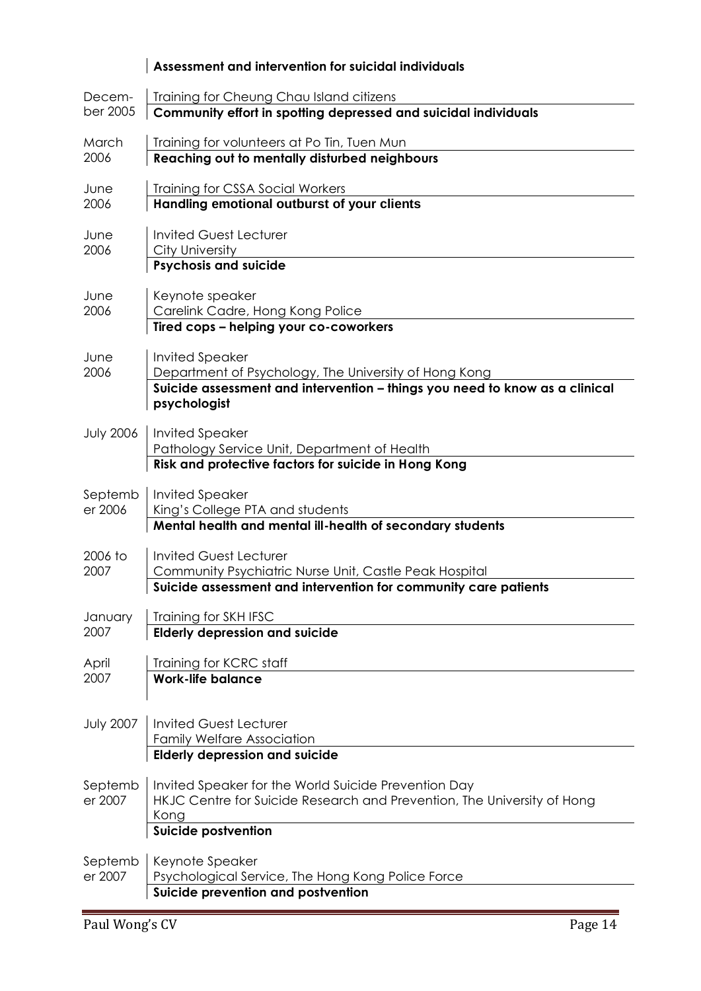|                  | Assessment and intervention for suicidal individuals                                        |
|------------------|---------------------------------------------------------------------------------------------|
| Decem-           | Training for Cheung Chau Island citizens                                                    |
| ber 2005         | Community effort in spotting depressed and suicidal individuals                             |
| March            | Training for volunteers at Po Tin, Tuen Mun                                                 |
| 2006             | Reaching out to mentally disturbed neighbours                                               |
| June             | Training for CSSA Social Workers                                                            |
| 2006             | Handling emotional outburst of your clients                                                 |
| June             | <b>Invited Guest Lecturer</b>                                                               |
| 2006             | City University                                                                             |
|                  | <b>Psychosis and suicide</b>                                                                |
| June             | Keynote speaker                                                                             |
| 2006             | Carelink Cadre, Hong Kong Police                                                            |
|                  | Tired cops - helping your co-coworkers                                                      |
| June             | <b>Invited Speaker</b>                                                                      |
| 2006             | Department of Psychology, The University of Hong Kong                                       |
|                  | Suicide assessment and intervention - things you need to know as a clinical<br>psychologist |
|                  |                                                                                             |
| <b>July 2006</b> | <b>Invited Speaker</b><br>Pathology Service Unit, Department of Health                      |
|                  | Risk and protective factors for suicide in Hong Kong                                        |
| Septemb          | <b>Invited Speaker</b>                                                                      |
| er 2006          | King's College PTA and students                                                             |
|                  | Mental health and mental ill-health of secondary students                                   |
| 2006 to          | <b>Invited Guest Lecturer</b>                                                               |
| 2007             | Community Psychiatric Nurse Unit, Castle Peak Hospital                                      |
|                  | Suicide assessment and intervention for community care patients                             |
| January          | Training for SKH IFSC                                                                       |
| 2007             | <b>Elderly depression and suicide</b>                                                       |
| April            | Training for KCRC staff                                                                     |
| 2007             | <b>Work-life balance</b>                                                                    |
|                  |                                                                                             |
| <b>July 2007</b> | <b>Invited Guest Lecturer</b>                                                               |
|                  | <b>Family Welfare Association</b>                                                           |
|                  | <b>Elderly depression and suicide</b>                                                       |
| Septemb          | Invited Speaker for the World Suicide Prevention Day                                        |
| er 2007          | HKJC Centre for Suicide Research and Prevention, The University of Hong                     |
|                  | Kong                                                                                        |
|                  | <b>Suicide postvention</b>                                                                  |
| Septemb          | Keynote Speaker                                                                             |
| er 2007          | Psychological Service, The Hong Kong Police Force                                           |
|                  | Suicide prevention and postvention                                                          |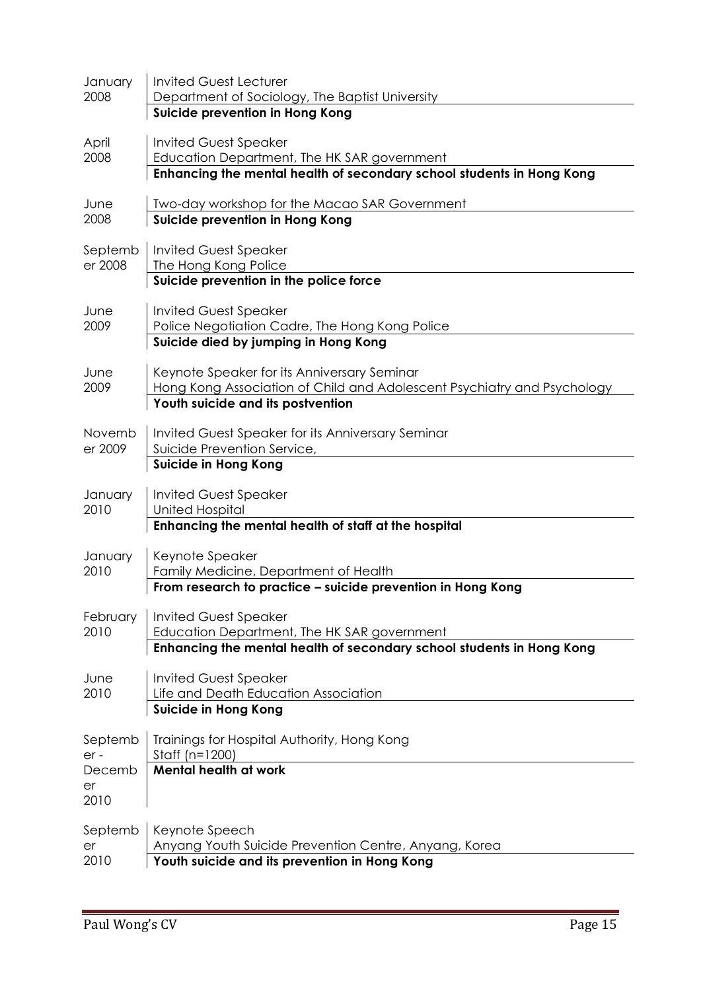| January<br>2008                        | <b>Invited Guest Lecturer</b><br>Department of Sociology, The Baptist University<br>Suicide prevention in Hong Kong                                         |
|----------------------------------------|-------------------------------------------------------------------------------------------------------------------------------------------------------------|
| April<br>2008                          | <b>Invited Guest Speaker</b><br>Education Department, The HK SAR government<br>Enhancing the mental health of secondary school students in Hong Kong        |
| June<br>2008                           | Two-day workshop for the Macao SAR Government<br>Suicide prevention in Hong Kong                                                                            |
| Septemb<br>er 2008                     | <b>Invited Guest Speaker</b><br>The Hong Kong Police<br>Suicide prevention in the police force                                                              |
| June<br>2009                           | <b>Invited Guest Speaker</b><br>Police Negotiation Cadre, The Hong Kong Police<br>Suicide died by jumping in Hong Kong                                      |
| June<br>2009                           | Keynote Speaker for its Anniversary Seminar<br>Hong Kong Association of Child and Adolescent Psychiatry and Psychology<br>Youth suicide and its postvention |
| Novemb<br>er 2009                      | Invited Guest Speaker for its Anniversary Seminar<br>Suicide Prevention Service,<br><b>Suicide in Hong Kong</b>                                             |
| January<br>2010                        | <b>Invited Guest Speaker</b><br><b>United Hospital</b><br>Enhancing the mental health of staff at the hospital                                              |
| January<br>2010                        | Keynote Speaker<br>Family Medicine, Department of Health<br>From research to practice - suicide prevention in Hong Kong                                     |
| February<br>2010                       | <b>Invited Guest Speaker</b><br>Education Department, The HK SAR government<br>Enhancing the mental health of secondary school students in Hong Kong        |
| June<br>2010                           | <b>Invited Guest Speaker</b><br>Life and Death Education Association<br><b>Suicide in Hong Kong</b>                                                         |
| Septemb<br>er-<br>Decemb<br>er<br>2010 | Trainings for Hospital Authority, Hong Kong<br>Staff ( $n=1200$ )<br><b>Mental health at work</b>                                                           |
| Septemb<br>er<br>2010                  | Keynote Speech<br>Anyang Youth Suicide Prevention Centre, Anyang, Korea<br>Youth suicide and its prevention in Hong Kong                                    |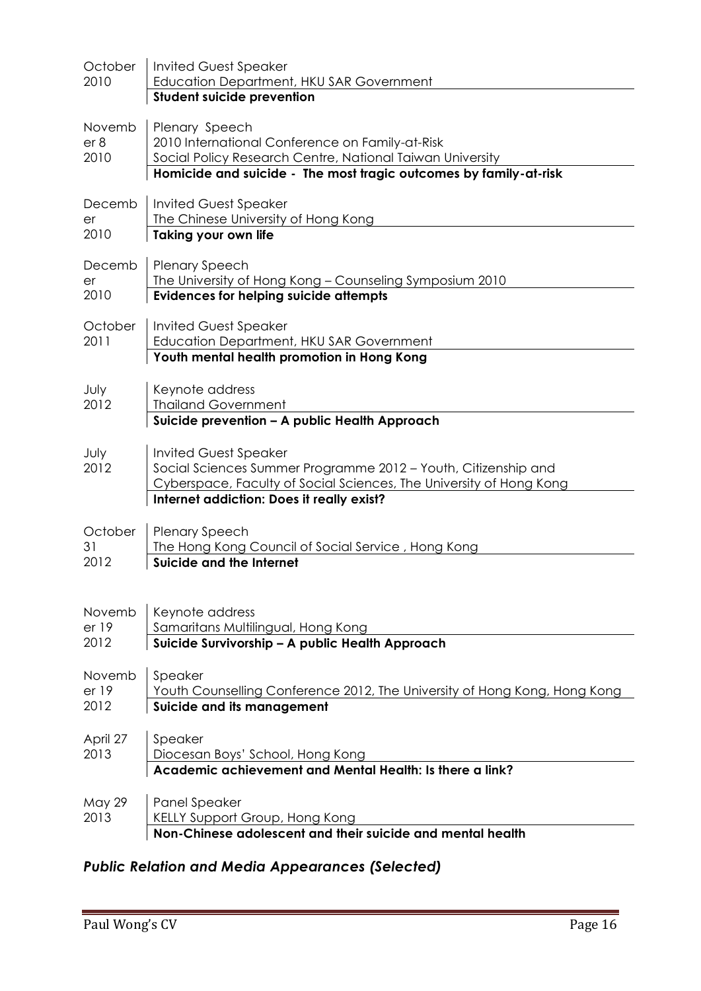| October<br>2010         | <b>Invited Guest Speaker</b><br><b>Education Department, HKU SAR Government</b>                                                                                                                                    |
|-------------------------|--------------------------------------------------------------------------------------------------------------------------------------------------------------------------------------------------------------------|
|                         | <b>Student suicide prevention</b>                                                                                                                                                                                  |
| Novemb<br>er 8<br>2010  | Plenary Speech<br>2010 International Conference on Family-at-Risk<br>Social Policy Research Centre, National Taiwan University<br>Homicide and suicide - The most tragic outcomes by family-at-risk                |
| Decemb<br>er<br>2010    | <b>Invited Guest Speaker</b><br>The Chinese University of Hong Kong<br><b>Taking your own life</b>                                                                                                                 |
| Decemb<br>er<br>2010    | <b>Plenary Speech</b><br>The University of Hong Kong - Counseling Symposium 2010<br><b>Evidences for helping suicide attempts</b>                                                                                  |
| October<br>2011         | <b>Invited Guest Speaker</b><br>Education Department, HKU SAR Government<br>Youth mental health promotion in Hong Kong                                                                                             |
| July<br>2012            | Keynote address<br><b>Thailand Government</b><br>Suicide prevention - A public Health Approach                                                                                                                     |
| July<br>2012            | <b>Invited Guest Speaker</b><br>Social Sciences Summer Programme 2012 - Youth, Citizenship and<br>Cyberspace, Faculty of Social Sciences, The University of Hong Kong<br>Internet addiction: Does it really exist? |
| October<br>31<br>2012   | <b>Plenary Speech</b><br>The Hong Kong Council of Social Service, Hong Kong<br><b>Suicide and the Internet</b>                                                                                                     |
| Novemb<br>er 19<br>2012 | Keynote address<br>Samaritans Multilingual, Hong Kong<br>Suicide Survivorship - A public Health Approach                                                                                                           |
| Novemb<br>er 19<br>2012 | Speaker<br>Youth Counselling Conference 2012, The University of Hong Kong, Hong Kong<br>Suicide and its management                                                                                                 |
| April 27<br>2013        | Speaker<br>Diocesan Boys' School, Hong Kong<br>Academic achievement and Mental Health: Is there a link?                                                                                                            |
| May 29<br>2013          | <b>Panel Speaker</b><br>KELLY Support Group, Hong Kong<br>Non-Chinese adolescent and their suicide and mental health                                                                                               |

# *Public Relation and Media Appearances (Selected)*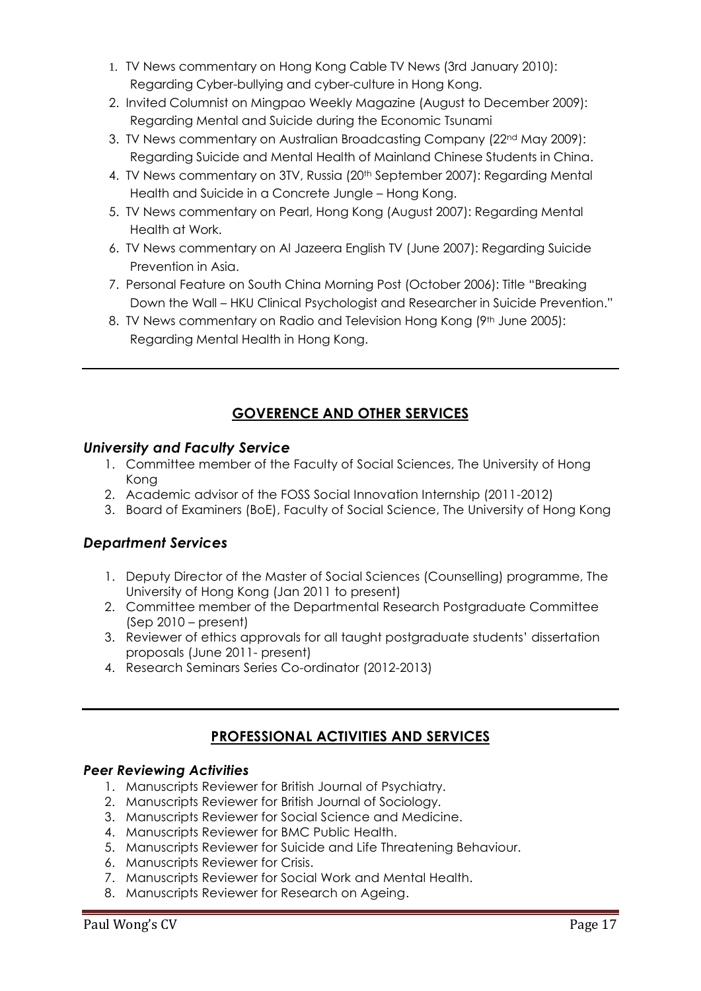- 1. TV News commentary on Hong Kong Cable TV News (3rd January 2010): Regarding Cyber-bullying and cyber-culture in Hong Kong.
- 2. Invited Columnist on Mingpao Weekly Magazine (August to December 2009): Regarding Mental and Suicide during the Economic Tsunami
- 3. TV News commentary on Australian Broadcasting Company (22nd May 2009): Regarding Suicide and Mental Health of Mainland Chinese Students in China.
- 4. TV News commentary on 3TV, Russia (20<sup>th</sup> September 2007): Regarding Mental Health and Suicide in a Concrete Jungle – Hong Kong.
- 5. TV News commentary on Pearl, Hong Kong (August 2007): Regarding Mental Health at Work.
- 6. TV News commentary on Al Jazeera English TV (June 2007): Regarding Suicide Prevention in Asia.
- 7. Personal Feature on South China Morning Post (October 2006): Title "Breaking Down the Wall – HKU Clinical Psychologist and Researcher in Suicide Prevention."
- 8. TV News commentary on Radio and Television Hong Kong (9th June 2005): Regarding Mental Health in Hong Kong.

## **GOVERENCE AND OTHER SERVICES**

## *University and Faculty Service*

- 1. Committee member of the Faculty of Social Sciences, The University of Hong Kong
- 2. Academic advisor of the FOSS Social Innovation Internship (2011-2012)
- 3. Board of Examiners (BoE), Faculty of Social Science, The University of Hong Kong

## *Department Services*

- 1. Deputy Director of the Master of Social Sciences (Counselling) programme, The University of Hong Kong (Jan 2011 to present)
- 2. Committee member of the Departmental Research Postgraduate Committee (Sep 2010 – present)
- 3. Reviewer of ethics approvals for all taught postgraduate students' dissertation proposals (June 2011- present)
- 4. Research Seminars Series Co-ordinator (2012-2013)

## **PROFESSIONAL ACTIVITIES AND SERVICES**

## *Peer Reviewing Activities*

- 1. Manuscripts Reviewer for British Journal of Psychiatry.
- 2. Manuscripts Reviewer for British Journal of Sociology.
- 3. Manuscripts Reviewer for Social Science and Medicine.
- 4. Manuscripts Reviewer for BMC Public Health.
- 5. Manuscripts Reviewer for Suicide and Life Threatening Behaviour.
- 6. Manuscripts Reviewer for Crisis.
- 7. Manuscripts Reviewer for Social Work and Mental Health.
- 8. Manuscripts Reviewer for Research on Ageing.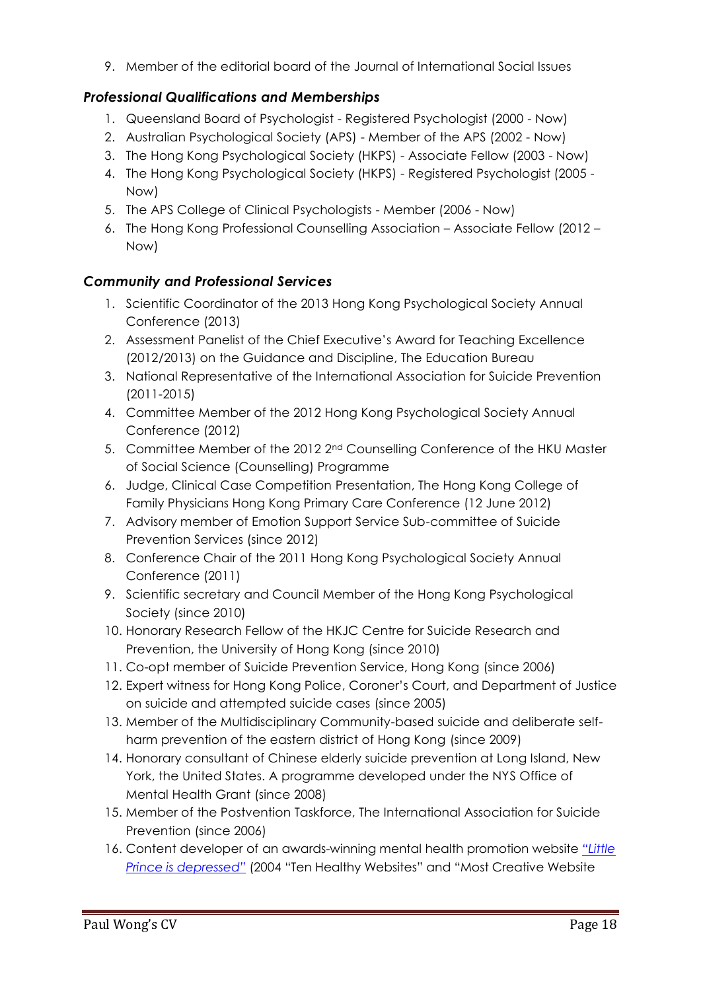9. Member of the editorial board of the Journal of International Social Issues

## *Professional Qualifications and Memberships*

- 1. Queensland Board of Psychologist Registered Psychologist (2000 Now)
- 2. Australian Psychological Society (APS) Member of the APS (2002 Now)
- 3. The Hong Kong Psychological Society (HKPS) Associate Fellow (2003 Now)
- 4. The Hong Kong Psychological Society (HKPS) Registered Psychologist (2005 Now)
- 5. The APS College of Clinical Psychologists Member (2006 Now)
- 6. The Hong Kong Professional Counselling Association Associate Fellow (2012 Now)

## *Community and Professional Services*

- 1. Scientific Coordinator of the 2013 Hong Kong Psychological Society Annual Conference (2013)
- 2. Assessment Panelist of the Chief Executive's Award for Teaching Excellence (2012/2013) on the Guidance and Discipline, The Education Bureau
- 3. National Representative of the International Association for Suicide Prevention (2011-2015)
- 4. Committee Member of the 2012 Hong Kong Psychological Society Annual Conference (2012)
- 5. Committee Member of the 2012 2<sup>nd</sup> Counselling Conference of the HKU Master of Social Science (Counselling) Programme
- 6. Judge, Clinical Case Competition Presentation, The Hong Kong College of Family Physicians Hong Kong Primary Care Conference (12 June 2012)
- 7. Advisory member of Emotion Support Service Sub-committee of Suicide Prevention Services (since 2012)
- 8. Conference Chair of the 2011 Hong Kong Psychological Society Annual Conference (2011)
- 9. Scientific secretary and Council Member of the Hong Kong Psychological Society (since 2010)
- 10. Honorary Research Fellow of the HKJC Centre for Suicide Research and Prevention, the University of Hong Kong (since 2010)
- 11. Co-opt member of Suicide Prevention Service, Hong Kong (since 2006)
- 12. Expert witness for Hong Kong Police, Coroner's Court, and Department of Justice on suicide and attempted suicide cases (since 2005)
- 13. Member of the Multidisciplinary Community-based suicide and deliberate selfharm prevention of the eastern district of Hong Kong (since 2009)
- 14. Honorary consultant of Chinese elderly suicide prevention at Long Island, New York, the United States. A programme developed under the NYS Office of Mental Health Grant (since 2008)
- 15. Member of the Postvention Taskforce, The International Association for Suicide Prevention (since 2006)
- 16. Content developer of an awards-winning mental health promotion website *["Little](http://www.depression.edu.hk/)  [Prince is depres](http://www.depression.edu.hk/)sed"* (2004 "Ten Healthy Websites" and "Most Creative Website